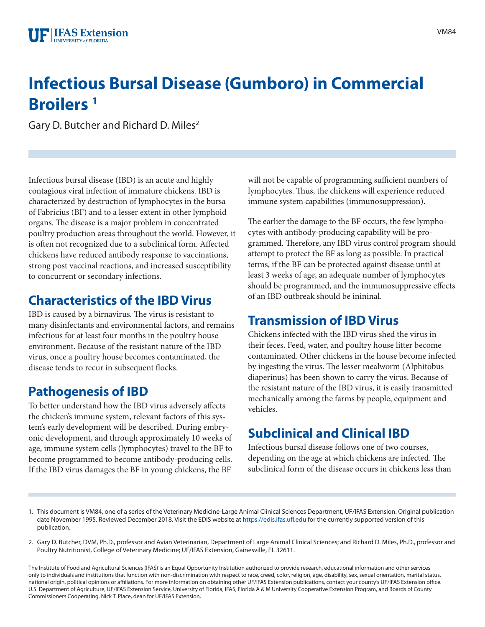# **Infectious Bursal Disease (Gumboro) in Commercial Broilers 1**

Gary D. Butcher and Richard D. Miles<sup>2</sup>

Infectious bursal disease (IBD) is an acute and highly contagious viral infection of immature chickens. IBD is characterized by destruction of lymphocytes in the bursa of Fabricius (BF) and to a lesser extent in other lymphoid organs. The disease is a major problem in concentrated poultry production areas throughout the world. However, it is often not recognized due to a subclinical form. Affected chickens have reduced antibody response to vaccinations, strong post vaccinal reactions, and increased susceptibility to concurrent or secondary infections.

# **Characteristics of the IBD Virus**

IBD is caused by a birnavirus. The virus is resistant to many disinfectants and environmental factors, and remains infectious for at least four months in the poultry house environment. Because of the resistant nature of the IBD virus, once a poultry house becomes contaminated, the disease tends to recur in subsequent flocks.

# **Pathogenesis of IBD**

To better understand how the IBD virus adversely affects the chicken's immune system, relevant factors of this system's early development will be described. During embryonic development, and through approximately 10 weeks of age, immune system cells (lymphocytes) travel to the BF to become programmed to become antibody-producing cells. If the IBD virus damages the BF in young chickens, the BF

will not be capable of programming sufficient numbers of lymphocytes. Thus, the chickens will experience reduced immune system capabilities (immunosuppression).

The earlier the damage to the BF occurs, the few lymphocytes with antibody-producing capability will be programmed. Therefore, any IBD virus control program should attempt to protect the BF as long as possible. In practical terms, if the BF can be protected against disease until at least 3 weeks of age, an adequate number of lymphocytes should be programmed, and the immunosuppressive effects of an IBD outbreak should be inininal.

#### **Transmission of IBD Virus**

Chickens infected with the IBD virus shed the virus in their feces. Feed, water, and poultry house litter become contaminated. Other chickens in the house become infected by ingesting the virus. The lesser mealworm (Alphitobus diaperinus) has been shown to carry the virus. Because of the resistant nature of the IBD virus, it is easily transmitted mechanically among the farms by people, equipment and vehicles.

# **Subclinical and Clinical IBD**

Infectious bursal disease follows one of two courses, depending on the age at which chickens are infected. The subclinical form of the disease occurs in chickens less than

- 1. This document is VM84, one of a series of the Veterinary Medicine-Large Animal Clinical Sciences Department, UF/IFAS Extension. Original publication date November 1995. Reviewed December 2018. Visit the EDIS website at <https://edis.ifas.ufl.edu>for the currently supported version of this publication.
- 2. Gary D. Butcher, DVM, Ph.D., professor and Avian Veterinarian, Department of Large Animal Clinical Sciences; and Richard D. Miles, Ph.D., professor and Poultry Nutritionist, College of Veterinary Medicine; UF/IFAS Extension, Gainesville, FL 32611.

The Institute of Food and Agricultural Sciences (IFAS) is an Equal Opportunity Institution authorized to provide research, educational information and other services only to individuals and institutions that function with non-discrimination with respect to race, creed, color, religion, age, disability, sex, sexual orientation, marital status, national origin, political opinions or affiliations. For more information on obtaining other UF/IFAS Extension publications, contact your county's UF/IFAS Extension office. U.S. Department of Agriculture, UF/IFAS Extension Service, University of Florida, IFAS, Florida A & M University Cooperative Extension Program, and Boards of County Commissioners Cooperating. Nick T. Place, dean for UF/IFAS Extension.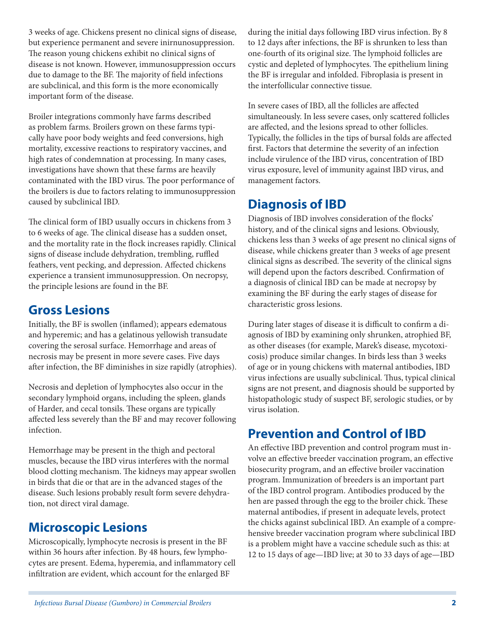3 weeks of age. Chickens present no clinical signs of disease, but experience permanent and severe inirnunosuppression. The reason young chickens exhibit no clinical signs of disease is not known. However, immunosuppression occurs due to damage to the BF. The majority of field infections are subclinical, and this form is the more economically important form of the disease.

Broiler integrations commonly have farms described as problem farms. Broilers grown on these farms typically have poor body weights and feed conversions, high mortality, excessive reactions to respiratory vaccines, and high rates of condemnation at processing. In many cases, investigations have shown that these farms are heavily contaminated with the IBD virus. The poor performance of the broilers is due to factors relating to immunosuppression caused by subclinical IBD.

The clinical form of IBD usually occurs in chickens from 3 to 6 weeks of age. The clinical disease has a sudden onset, and the mortality rate in the flock increases rapidly. Clinical signs of disease include dehydration, trembling, ruffled feathers, vent pecking, and depression. Affected chickens experience a transient immunosuppression. On necropsy, the principle lesions are found in the BF.

#### **Gross Lesions**

Initially, the BF is swollen (inflamed); appears edematous and hyperemic; and has a gelatinous yellowish transudate covering the serosal surface. Hemorrhage and areas of necrosis may be present in more severe cases. Five days after infection, the BF diminishes in size rapidly (atrophies).

Necrosis and depletion of lymphocytes also occur in the secondary lymphoid organs, including the spleen, glands of Harder, and cecal tonsils. These organs are typically affected less severely than the BF and may recover following infection.

Hemorrhage may be present in the thigh and pectoral muscles, because the IBD virus interferes with the normal blood clotting mechanism. The kidneys may appear swollen in birds that die or that are in the advanced stages of the disease. Such lesions probably result form severe dehydration, not direct viral damage.

#### **Microscopic Lesions**

Microscopically, lymphocyte necrosis is present in the BF within 36 hours after infection. By 48 hours, few lymphocytes are present. Edema, hyperemia, and inflammatory cell infiltration are evident, which account for the enlarged BF

during the initial days following IBD virus infection. By 8 to 12 days after infections, the BF is shrunken to less than one-fourth of its original size. The lymphoid follicles are cystic and depleted of lymphocytes. The epithelium lining the BF is irregular and infolded. Fibroplasia is present in the interfollicular connective tissue.

In severe cases of IBD, all the follicles are affected simultaneously. In less severe cases, only scattered follicles are affected, and the lesions spread to other follicles. Typically, the follicles in the tips of bursal folds are affected first. Factors that determine the severity of an infection include virulence of the IBD virus, concentration of IBD virus exposure, level of immunity against IBD virus, and management factors.

#### **Diagnosis of IBD**

Diagnosis of IBD involves consideration of the flocks' history, and of the clinical signs and lesions. Obviously, chickens less than 3 weeks of age present no clinical signs of disease, while chickens greater than 3 weeks of age present clinical signs as described. The severity of the clinical signs will depend upon the factors described. Confirmation of a diagnosis of clinical IBD can be made at necropsy by examining the BF during the early stages of disease for characteristic gross lesions.

During later stages of disease it is difficult to confirm a diagnosis of IBD by examining only shrunken, atrophied BF, as other diseases (for example, Marek's disease, mycotoxicosis) produce similar changes. In birds less than 3 weeks of age or in young chickens with maternal antibodies, IBD virus infections are usually subclinical. Thus, typical clinical signs are not present, and diagnosis should be supported by histopathologic study of suspect BF, serologic studies, or by virus isolation.

# **Prevention and Control of IBD**

An effective IBD prevention and control program must involve an effective breeder vaccination program, an effective biosecurity program, and an effective broiler vaccination program. Immunization of breeders is an important part of the IBD control program. Antibodies produced by the hen are passed through the egg to the broiler chick. These maternal antibodies, if present in adequate levels, protect the chicks against subclinical IBD. An example of a comprehensive breeder vaccination program where subclinical IBD is a problem might have a vaccine schedule such as this: at 12 to 15 days of age—IBD live; at 30 to 33 days of age—IBD